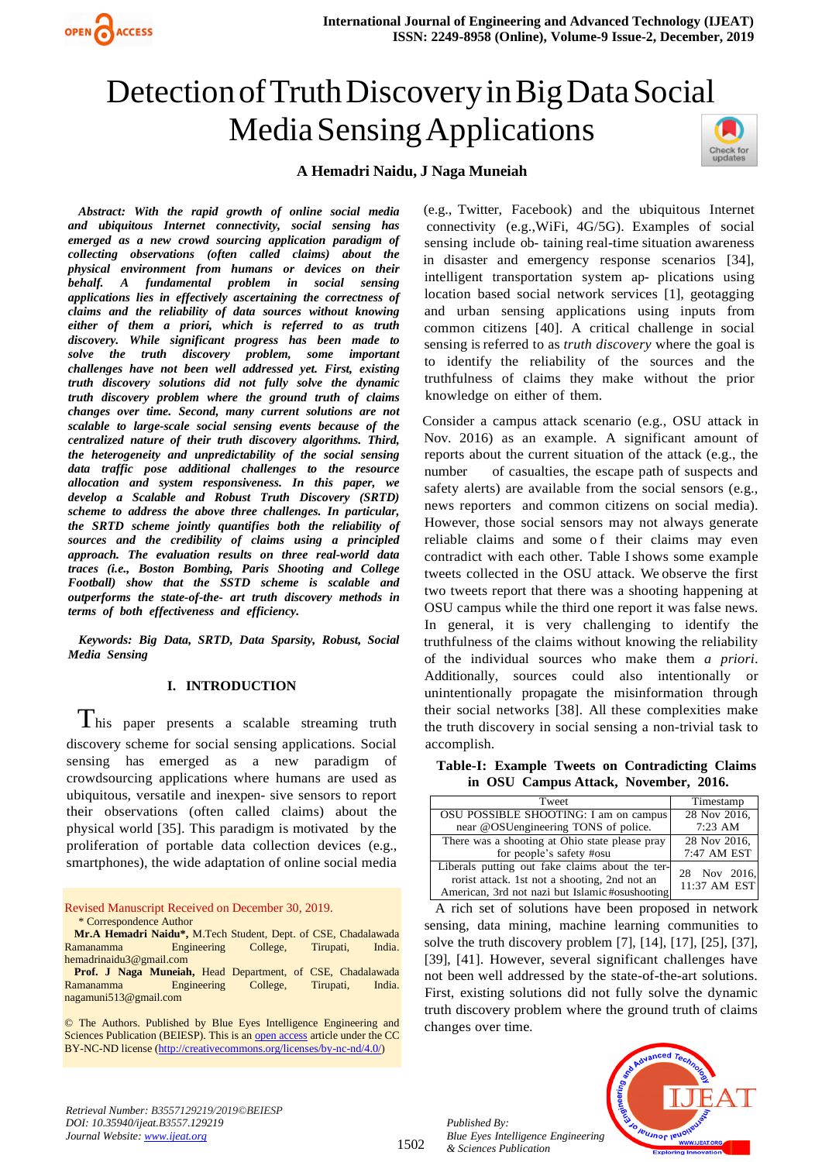

# Detection of Truth Discovery in Big Data Social Media Sensing Applications



# **<sup>i</sup>AiHemadriiNaidu, <sup>i</sup>JiNagaiMuneiah**

*Abstract:* With the rapid growth of online social media *iand iubiquitous iInternet iconnectivity, isocial isensing ihas iemerged ias ia inew icrowd isourcing iapplication iparadigm iof icollecting iobservations i(often icalled iclaims) iabout ithe iphysical ienvironment ifrom ihumans ior idevices ion itheir ibehalf. iA ifundamental iproblem iin isocial isensing iapplications ilies iin ieffectively iascertaining ithe icorrectness iof iclaims iand ithe ireliability iof idata isources iwithout iknowing ieither iof ithem ia ipriori, iwhich iis ireferred ito ias itruth idiscovery. iWhile isignificant iprogress ihas ibeen imade ito isolve ithe itruth idiscovery iproblem, isome iimportant ichallenges ihave inot ibeen iwell iaddressed iyet. iFirst, iexisting itruth idiscovery isolutions idid inot ifully isolve ithe idynamic itruth idiscovery iproblem iwhere ithe iground itruth iof iclaims ichanges iover itime. iSecond, imany icurrent isolutions iare inot iscalable ito ilarge-scale isocial isensing ievents ibecause iof ithe icentralized inature iof itheir itruth idiscovery ialgorithms. iThird, ithe iheterogeneity iand iunpredictability iof ithe isocial isensing idata itraffic ipose iadditional ichallenges ito ithe iresource iallocation iand isystem iresponsiveness. iIn ithis ipaper, iwe idevelop ia iScalable iand iRobust iTruth iDiscovery i(SRTD) ischeme ito iaddress ithe iabove ithree ichallenges. iIn iparticular, ihe SRTD* scheme *jointly quantifies both the reliability of isources iand ithe icredibility iof iclaims iusing ia iprincipled iapproach. iThe ievaluation iresults ion ithree ireal-world idata itraces* (*i.e., Boston Bombing, Paris Shooting and College iFootball) ishow ithat ithe iSSTD ischeme iis iscalable iand ioutperforms ithe istate-of-the- iart itruth idiscovery imethods iin iterms iof iboth ieffectiveness iand iefficiency.*

*Keywords: iBig iData, iSRTD, iData iSparsity, iRobust, iSocial Media Sensing* 

# **I. INTRODUCTION**

 $T_{\text{his paper} }$  presents a scalable streaming truth discovery scheme for social sensing applications. Social sensing has emerged as a new paradigm of crowdsourcing applications where humans are used as ubiquitous, versatile and inexpen- sive sensors to report their observations (often called claims) about the physical world [35]. This paradigm is motivated by the proliferation of portable data collection devices (e.g., smartphones), the wide adaptation of online social media

Revised Manuscript Received on December 30, 2019. \* Correspondence Author

**Mr.A Hemadri Naidu\*,** M.Tech Student, Dept. of CSE, Chadalawada Ramanamma Engineering College, Tirupati, India. hemadrinaidu3@gmail.com

**Prof. J Naga Muneiah,** Head Department, of CSE, Chadalawada Ramanamma Engineering College, Tirupati, India. nagamuni513@gmail.com

© The Authors. Published by Blue Eyes Intelligence Engineering and Sciences Publication (BEIESP). This is a[n open access](https://www.openaccess.nl/en/open-publications) article under the CC BY-NC-ND license [\(http://creativecommons.org/licenses/by-nc-nd/4.0/\)](http://creativecommons.org/licenses/by-nc-nd/4.0/)

(e.g., Twitter, Facebook) and the ubiquitous Internet connectivity (e.g., WiFi, 4G/5G). Examples of social sensing include ob- taining real-time situation awareness in disaster and emergency response scenarios [34], intelligent transportation system ap- plications using location based social network services [1], geotagging and urban sensing applications using inputs from common citizens [40]. A critical challenge in social is sensing is referred to as *truth discovery* where the goal is to identify the reliability of the sources and the truthfulness of claims they make without the prior knowledge on either of them.

Consider a campus attack scenario (e.g., OSU attack in Nov. 2016) as an example. A significant amount of reports about the current situation of the attack (e.g., the number of casualties, the escape path of suspects and safety alerts) are available from the social sensors (e.g., news reporters and common citizens on social media). However, those social sensors may not always generate reliable claims and some of their claims may even contradict with each other. Table I shows some example tweets collected in the OSU attack. We observe the first two tweets report that there was a shooting happening at OSU campus while the third one report it was false news. In general, it is very challenging to identify the truthfulness of the claims without knowing the reliability <sup>i</sup>of <sup>i</sup>the <sup>i</sup>individual <sup>i</sup>sources <sup>i</sup>who <sup>i</sup>make <sup>i</sup>them <sup>i</sup>*a <sup>i</sup>priori*. Additionally, sources could also intentionally or unintentionally propagate the misinformation through their social networks [38]. All these complexities make the truth discovery in social sensing a non-trivial task to accomplish.

**Table-I: Example Tweets on Contradicting Claims**  $i$ **in OSU Campus Attack, November, 2016.** 

| Tweet                                                                                                                                              | Timestamp                    |
|----------------------------------------------------------------------------------------------------------------------------------------------------|------------------------------|
| OSU POSSIBLE SHOOTING: I am on campus                                                                                                              | 28 Nov 2016,                 |
| near @OSUengineering TONS of police.                                                                                                               | $7:23$ AM                    |
| There was a shooting at Ohio state please pray                                                                                                     | 28 Nov 2016,                 |
| for people's safety #osu                                                                                                                           | 7:47 AM EST                  |
| Liberals putting out fake claims about the ter-<br>rorist attack. 1st not a shooting, 2nd not an<br>American, 3rd not nazi but Islamic#osushooting | 28 Nov 2016,<br>11:37 AM EST |

A rich set of solutions have been proposed in network sensing, data mining, machine learning communities to solve the truth discovery problem [7],  $[14]$ ,  $[17]$ ,  $[25]$ ,  $[37]$ , [39], [41]. However, several significant challenges have not been well addressed by the state-of-the-art solutions. First, existing solutions did not fully solve the dynamic truth discovery problem where the ground truth of claims changes over time.

*Retrieval Number: B3557129219/2019©BEIESP DOI: 10.35940/ijeat.B3557.129219 Journal Website[: www.ijeat.org](http://www.ijeat.org/)*

1502

*Published By: Blue Eyes Intelligence Engineering & Sciences Publication* 

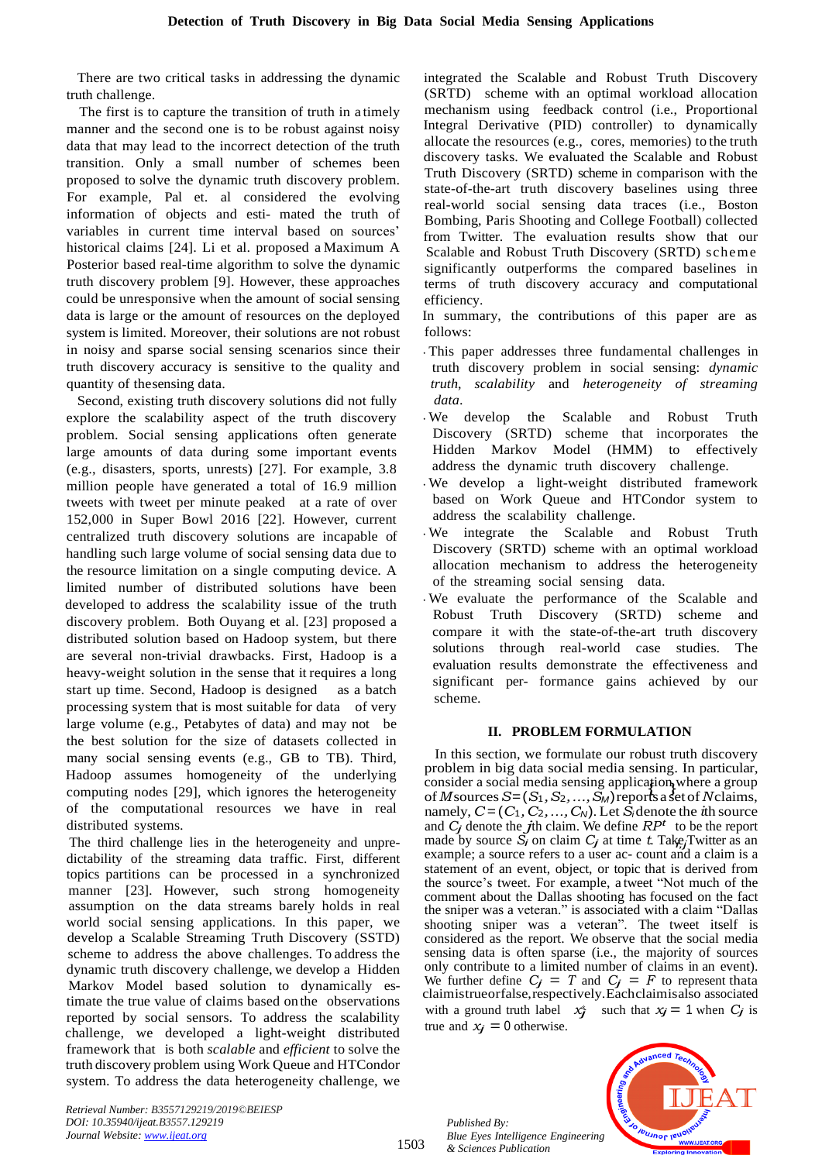There are two critical tasks in addressing the dynamic truth challenge.

The first is to capture the transition of truth in a timely manner and the second one is to be robust against noisy data that may lead to the incorrect detection of the truth transition. Only a small number of schemes been proposed to solve the dynamic truth discovery problem. For example, Pal et. al considered the evolving information of objects and esti- mated the truth of variables in current time interval based on sources' historical claims [24]. Li et al. proposed a Maximum A Posterior based real-time algorithm to solve the dynamic truth discovery problem [9]. However, these approaches could be unresponsive when the amount of social sensing data is large or the amount of resources on the deployed system is limited. Moreover, their solutions are not robust in noisy and sparse social sensing scenarios since their truth discovery accuracy is sensitive to the quality and quantity of the sensing data.

Second, existing truth discovery solutions did not fully explore the scalability aspect of the truth discovery problem. Social sensing applications often generate large amounts of data during some important events (e.g., disasters, sports, unrests)  $[27]$ . For example, 3.8 million people have generated a total of 16.9 million tweets with tweet per minute peaked at a rate of over  $152,000$  in Super Bowl 2016 [22]. However, current centralized truth discovery solutions are incapable of handling such large volume of social sensing data due to the resource limitation on a single computing device. A limited number of distributed solutions have been developed to address the scalability issue of the truth discovery problem. Both Ouyang et al. [23] proposed a distributed solution based on Hadoop system, but there are several non-trivial drawbacks. First, Hadoop is a heavy-weight solution in the sense that it requires a long start up time. Second, Hadoop is designed as a batch processing system that is most suitable for data of very large volume (e.g., Petabytes of data) and may not be the best solution for the size of datasets collected in many social sensing events (e.g., GB to TB). Third, Hadoop assumes homogeneity of the underlying computing nodes [29], which ignores the heterogeneity of the computational resources we have in real distributed systems.

The third challenge lies in the heterogeneity and unpredictability of the streaming data traffic. First, different topics partitions can be processed in a synchronized manner [23]. However, such strong homogeneity assumption on the data streams barely holds in real world social sensing applications. In this paper, we develop a Scalable Streaming Truth Discovery (SSTD) scheme to address the above challenges. To address the dynamic truth discovery challenge, we develop a Hidden Markov Model based solution to dynamically estimate the true value of claims based on the observations reported by social sensors. To address the scalability challenge, we developed a light-weight distributed framework that is both *scalable* and *efficient* to solve the truth discovery problem using Work Queue and HTCondor system. To address the data heterogeneity challenge, we

*Retrieval Number: B3557129219/2019©BEIESP DOI: 10.35940/ijeat.B3557.129219 Journal Website[: www.ijeat.org](http://www.ijeat.org/)*

integrated the Scalable and Robust Truth Discovery (SRTD) scheme with an optimal workload allocation mechanism using feedback control (i.e., Proportional Integral Derivative (PID) controller) to dynamically allocate the resources (e.g., cores, memories) to the truth discovery tasks. We evaluated the Scalable and Robust Truth Discovery (SRTD) scheme in comparison with the state-of-the-art truth discovery baselines using three real-world social sensing data traces (i.e., Boston Bombing, Paris Shooting and College Football) collected from Twitter. The evaluation results show that our Scalable and Robust Truth Discovery (SRTD) scheme significantly outperforms the compared baselines in terms of truth discovery accuracy and computational efficiency.

In summary, the contributions of this paper are as follows:

- · This paper addresses three fundamental challenges in truth discovery problem in social sensing: *dynamic itruth, scalability* and *heterogeneity of streaming idata*.
- · We develop the Scalable and Robust Truth Discovery (SRTD) scheme that incorporates the Hidden Markov Model (HMM) to effectively address the dynamic truth discovery challenge.
- We develop a light-weight distributed framework based on Work Queue and HTCondor system to address the scalability challenge.
- We integrate the Scalable and Robust Truth Discovery (SRTD) scheme with an optimal workload allocation mechanism to address the heterogeneity of the streaming social sensing data.
- We evaluate the performance of the Scalable and Robust Truth Discovery (SRTD) scheme and compare it with the state-of-the-art truth discovery solutions through real-world case studies. The evaluation results demonstrate the effectiveness and significant per- formance gains achieved by our scheme.

#### **II. PROBLEMIFORMULATION**

made by source  $\tilde{S}_i$  on claim  $C_j$  at time t. Take Twitter as an consider a social media sensing application where a group<br>of  $M_{\odot}$  is  $S_{\odot}$  is a subspace of  $M_{\odot}$  important of  $M_{\odot}$  important of  $M_{\odot}$  important of  $M_{\odot}$  important or  $M_{\odot}$  important or  $M_{\odot}$  imp In this section, we formulate our robust truth discovery problem in big data social media sensing. In particular, <sup>i</sup>ofi*Mi*sourcesi*Si*=i(*S*1*,iS*2*,i...,iS<sup>M</sup>i*)ireportsiaisetiofi*Ni*claims, inamely,  $C = (C_1, C_2, \ldots, C_N)$ . Let  $S_i$  denote the *i*th source and  $C_j$  denote the *j*th claim. We define  $RP<sup>t</sup>$  to be the report example; a source refers to a user ac- count and a claim is a statement of an event, object, or topic that is derived from the source's tweet. For example, a tweet "Not much of the comment about the Dallas shooting has focused on the fact the sniper was a veteran." is associated with a claim "Dallas" shooting sniper was a veteran". The tweet itself is considered as the report. We observe that the social media sensing data is often sparse (i.e., the majority of sources only contribute to a limited number of claims in an event). We further define  $C_j = T$  and  $C_j = F$  to represent thata claimistrueorfalse, respectively. Each claimis also associated with a ground truth label  $x_j^*$  such that  $x_j = 1$  when  $C_j$  is true and  $x_j = 0$  otherwise.

*Published By: Blue Eyes Intelligence Engineering & Sciences Publication* 



1503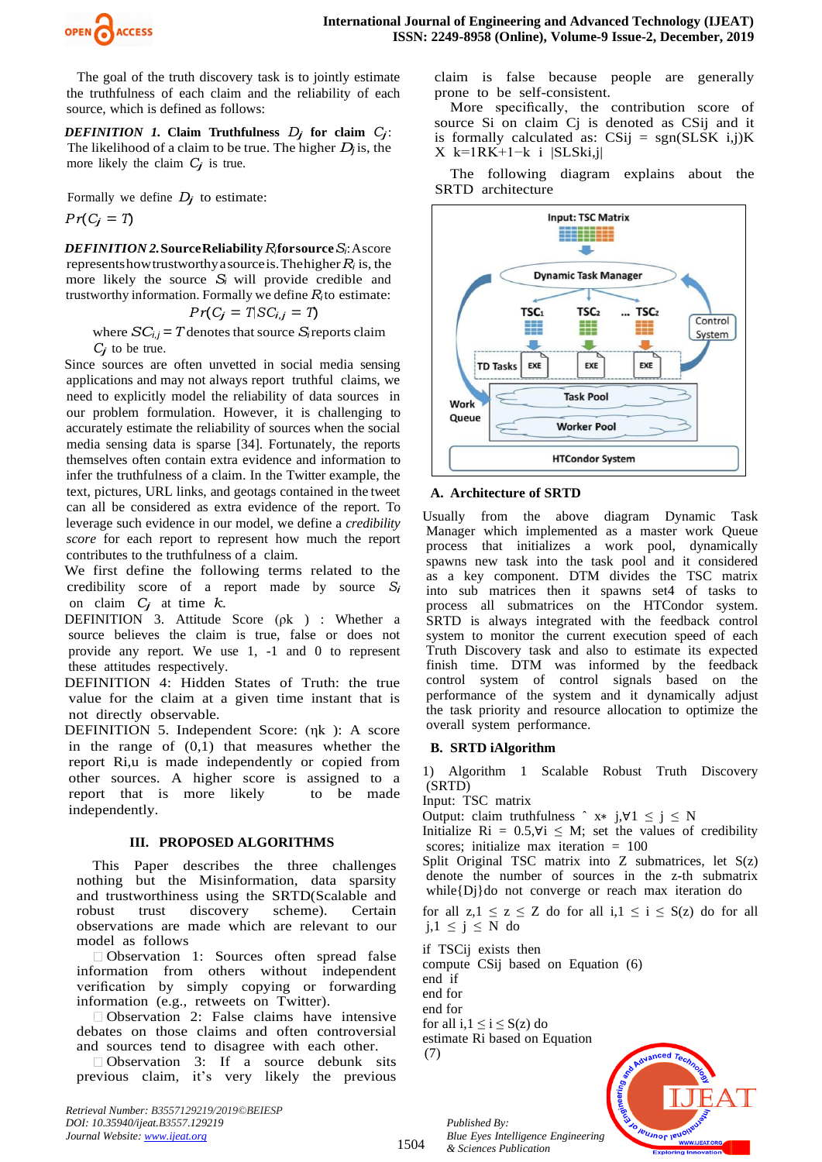

The goal of the truth discovery task is to jointly estimate the truthfulness of each claim and the reliability of each source, which is defined as follows:

*DEFINITION 1.* Claim Truthfulness  $D_j$  for claim  $C_j$ : The likelihood of a claim to be true. The higher  $D_i$  is, the more likely the claim  $C_j$  is true.

Formally we define  $D_j$  to estimate:

$$
Pr(C_j = T)
$$

*DEFINITION* 2. Source Reliability *R*<sub>i</sub>for source *S*<sub>*i*</sub>: Ascore is represents how trustworthy a source is. The higher  $R_i$  is, the more likely the source  $S_i$  will provide credible and trustworthy information. Formally we define  $R_i$  to estimate:

$$
Pr(C_j = T | SC_{i,j} = T)
$$

where  $SC_{i,j} = T$  denotes that source *S<sub>i</sub>* reports claim  $C_i$  to be true.

Since sources are often unvetted in social media sensing applications and may not always report truthful claims, we need to explicitly model the reliability of data sources in our problem formulation. However, it is challenging to accurately estimate the reliability of sources when the social media sensing data is sparse [34]. Fortunately, the reports themselves often contain extra evidence and information to infer the truthfulness of a claim. In the Twitter example, the text, pictures, URL links, and geotags contained in the tweet can all be considered as extra evidence of the report. To leverage such evidence in our model, we define a *credibility score* for each report to represent how much the report contributes to the truthfulness of a claim.

We first define the following terms related to the credibility score of a report made by source  $S_i$ on claim  $C_j$  at time  $k$ .

DEFINITION 3. Attitude Score (ρk) : Whether a source believes the claim is true, false or does not provide any report. We use  $1, -1$  and  $0$  to represent these attitudes respectively.

DEFINITION 4: Hidden States of Truth: the true value for the claim at a given time instant that is not directly observable.

DEFINITION 5. Independent Score:  $(\eta k)$ : A score in the range of  $(0,1)$  that measures whether the report Ri,u is made independently or copied from other sources. A higher score is assigned to a report that is more likely to be made independently.

## **III. PROPOSEDIALGORITHMS**

This Paper describes the three challenges nothing but the Misinformation, data sparsity and trustworthiness using the SRTD(Scalable and robust trust discovery scheme). Certain observations are made which are relevant to our model as follows

 $\Box$  Observation 1: Sources often spread false information from others without independent verification by simply copying or forwarding information (e.g., retweets on Twitter).

 $\Box$  Observation 2: False claims have intensive debates on those claims and often controversial and sources tend to disagree with each other.

 $\Box$  Observation 3: If a source debunk sits previous claim, it's very likely the previous

*Retrieval Number: B3557129219/2019©BEIESP DOI: 10.35940/ijeat.B3557.129219 Journal Website[: www.ijeat.org](http://www.ijeat.org/)*

claim is false because people are generally prone to be self-consistent.

More specifically, the contribution score of source Si on claim Cj is denoted as CSij and it is formally calculated as:  $CSij = sgn(SLSK i,j)K$  $X$  k=1RK+1−k i |SLSki,j|

The following diagram explains about the SRTD architecture



## **A. Architecture <sup>i</sup>ofiSRTD**

Usually from the above diagram Dynamic Task Manager which implemented as a master work Queue process that initializes a work pool, dynamically spawns new task into the task pool and it considered as a key component. DTM divides the TSC matrix into sub matrices then it spawns set4 of tasks to process all submatrices on the HTCondor system. SRTD is always integrated with the feedback control system to monitor the current execution speed of each Truth Discovery task and also to estimate its expected finish time. DTM was informed by the feedback control system of control signals based on the performance of the system and it dynamically adjust the task priority and resource allocation to optimize the overall system performance.

## **B. SRTD iAlgorithm**

1) Algorithm 1 Scalable Robust Truth Discovery i(SRTD)

Input: TSC matrix

Output: claim truthfulness  $\hat{x}$  is  $\forall 1 \le i \le N$ 

Initialize Ri =  $0.5, \forall i \leq M$ ; set the values of credibility scores; initialize max iteration  $= 100$ 

Split Original TSC matrix into Z submatrices, let  $S(z)$ denote the number of sources in the z-th submatrix while $\{D_i\}$ do not converge or reach max iteration do

for all  $z,1 \le z \le Z$  do for all  $i,1 \le i \le S(z)$  do for all  $j, 1 \leq j \leq N$  do

if TSCij exists then

compute CSij based on Equation (6)

end iif

end for

1504

end for

for all i,  $1 \le i \le S(z)$  do

estimate Ri based on Equation  $(7)$ 



*Published By: Blue Eyes Intelligence Engineering & Sciences Publication*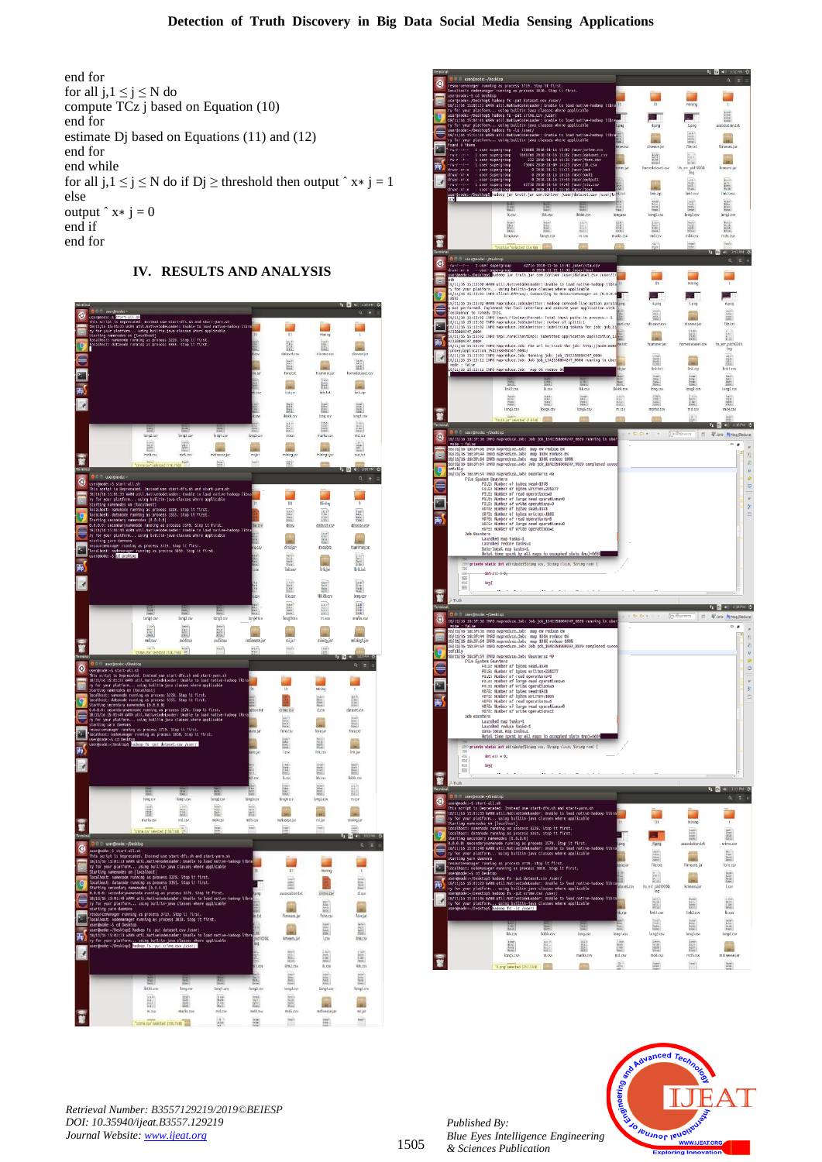end for for all  $i, 1 \le i \le N$  do compute  $TCz$  j based on Equation  $(10)$ end for estimate Dj based on Equations  $(11)$  and  $(12)$ end for end while for all  $j, 1 \le j \le N$  do if  $Dj \ge$  threshold then output ^ x\*  $j = 1$ else output  $\hat{x} \times i = 0$ end if end for

## **IV. RESULTSIANDIANALYSIS**







*Retrieval Number: B3557129219/2019©BEIESP DOI: 10.35940/ijeat.B3557.129219 Journal Website[: www.ijeat.org](http://www.ijeat.org/)*

*Published By: Blue Eyes Intelligence Engineering & Sciences Publication*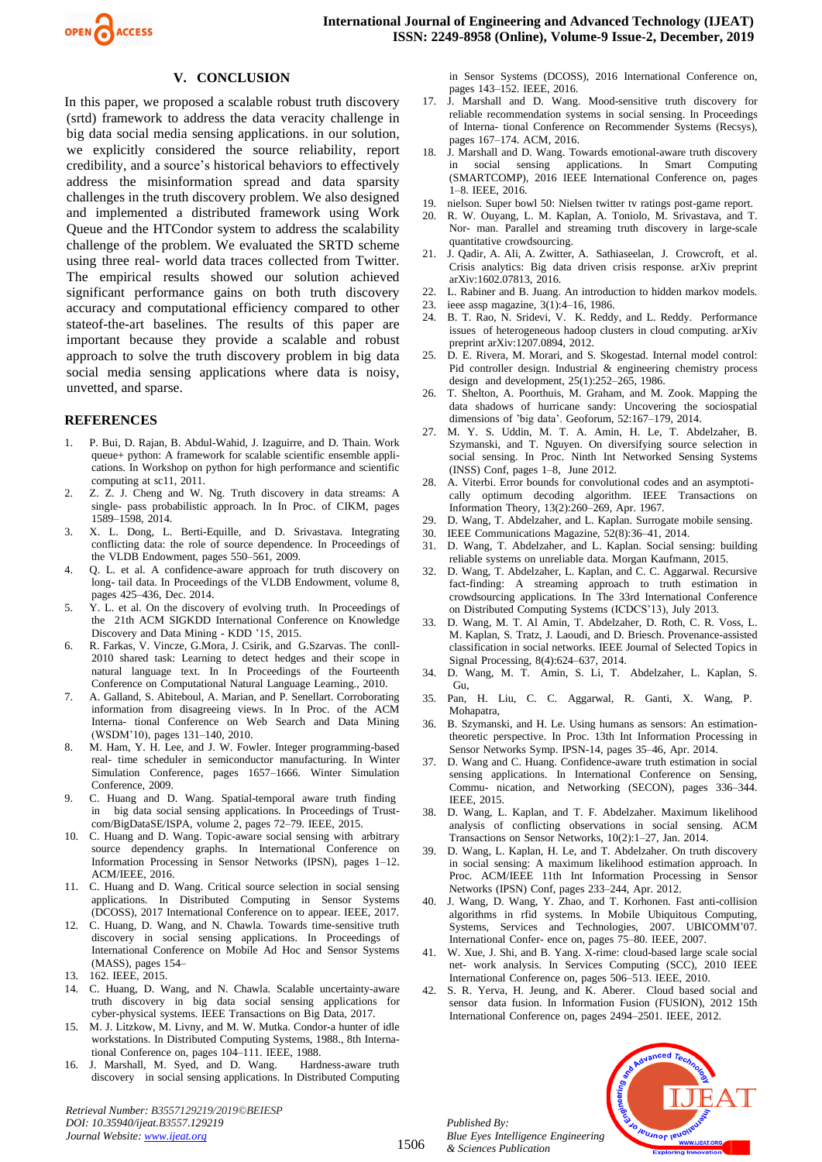

#### **V. CONCLUSION**

In this paper, we proposed a scalable robust truth discovery (srtd) framework to address the data veracity challenge in big data social media sensing applications. in our solution, we explicitly considered the source reliability, report credibility, and a source's historical behaviors to effectively address the misinformation spread and data sparsity challenges in the truth discovery problem. We also designed and implemented a distributed framework using Work Queue and the HTCondor system to address the scalability challenge of the problem. We evaluated the SRTD scheme using three real- world data traces collected from Twitter. The empirical results showed our solution achieved significant performance gains on both truth discovery accuracy and computational efficiency compared to other stateof-the-art baselines. The results of this paper are important because they provide a scalable and robust approach to solve the truth discovery problem in big data social media sensing applications where data is noisy, unvetted, and sparse.

#### **REFERENCES**

- 1. P. Bui, D. Rajan, B. Abdul-Wahid, J. Izaguirre, and D. Thain. Work queue+ python: A framework for scalable scientific ensemble applications. In Workshop on python for high performance and scientific computing at sc11,  $2011$ .
- 2. Z. Z. J. Cheng and W. Ng. Truth discovery in data streams: A single- pass probabilistic approach. In In Proc. of CIKM, pages 1589-1598, 2014.
- 3. X. L. Dong, L. Berti-Equille, and D. Srivastava. Integrating conflicting data: the role of source dependence. In Proceedings of the VLDB Endowment, pages 550–561, 2009.
- 4. Q. L. et al. A confidence-aware approach for truth discovery on long-tail data. In Proceedings of the VLDB Endowment, volume 8, pages 425–436, Dec. 2014.
- 5. Y. L. et al. On the discovery of evolving truth. In Proceedings of the 21th ACM SIGKDD International Conference on Knowledge Discovery and Data Mining - KDD '15, 2015.
- R. Farkas, V. Vincze, G.Mora, J. Csirik, and G.Szarvas. The conll-2010 shared task: Learning to detect hedges and their scope in in the internatural increase in the international international increase in the international increase in the international increase in the international international international international international internationa Conference on Computational Natural Language Learning., 2010.
- 7. A. Galland, S. Abiteboul, A. Marian, and P. Senellart. Corroborating information from disagreeing views. In In Proc. of the ACM Interna- tional Conference on Web Search and Data Mining (WSDM'10), pages 131-140, 2010.
- M. Ham, Y. H. Lee, and J. W. Fowler. Integer programming-based real- time scheduler in semiconductor manufacturing. In Winter Simulation Conference, pages 1657–1666. Winter Simulation Conference, 2009.
- 9. C. Huang and D. Wang. Spatial-temporal aware truth finding in big data social sensing applications. In Proceedings of Trustcom/BigDataSE/ISPA, volume 2, pages 72-79. IEEE, 2015.
- 10. C. Huang and D. Wang. Topic-aware social sensing with arbitrary source dependency graphs. In International Conference on Information Processing in Sensor Networks (IPSN), pages 1-12. ACM/IEEE, 2016.
- 11. C. Huang and D. Wang. Critical source selection in social sensing applications. In Distributed Computing in Sensor Systems (DCOSS), 2017 International Conference on to appear. IEEE, 2017.
- 12. C. Huang, D. Wang, and N. Chawla. Towards time-sensitive truth discovery in social sensing applications. In Proceedings of International Conference on Mobile Ad Hoc and Sensor Systems (MASS), pages 154–
- 13. 162. IEEE, 2015.
- 14. C. Huang, D. Wang, and N. Chawla. Scalable uncertainty-aware truth discovery in big data social sensing applications for cyber-physical systems. IEEE Transactions on Big Data, 2017.
- 15. M. J. Litzkow, M. Livny, and M. W. Mutka. Condor-a hunter of idle workstations. In Distributed Computing Systems, 1988., 8th International Conference on, pages 104–111. IEEE, 1988.
- 16. J. Marshall, M. Syed, and D. Wang. Hardness-aware truth discovery in social sensing applications. In Distributed Computing

*Retrieval Number: B3557129219/2019©BEIESP DOI: 10.35940/ijeat.B3557.129219 Journal Website[: www.ijeat.org](http://www.ijeat.org/)*

in Sensor Systems (DCOSS), 2016 International Conference on, pages 143–152. IEEE, 2016.

- 17. J. Marshall and D. Wang. Mood-sensitive truth discovery for reliable recommendation systems in social sensing. In Proceedings of Interna- tional Conference on Recommender Systems (Recsys), pages 167–174. ACM, 2016.
- 18. J. Marshall and D. Wang. Towards emotional-aware truth discovery in social sensing applications. In Smart Computing (SMARTCOMP), 2016 IEEE International Conference on, pages  $1-8$ . IEEE,  $2016$ .
- 19. nielson. Super bowl 50: Nielsen twitter tv ratings post-game report.
- 20. R. W. Ouyang, L. M. Kaplan, A. Toniolo, M. Srivastava, and T. Nor- man. Parallel and streaming truth discovery in large-scale quantitative crowdsourcing.
- 21. J. Qadir, A. Ali, A. Zwitter, A. Sathiaseelan, J. Crowcroft, et al. Crisis analytics: Big data driven crisis response. arXiv preprint arXiv:1602.07813, 2016.
- 22. L. Rabiner and B. Juang. An introduction to hidden markov models.
- 23. ieee assp magazine, 3(1):4–16, 1986.
- 24. B. T. Rao, N. Sridevi, V. K. Reddy, and L. Reddy. Performance issues of heterogeneous hadoop clusters in cloud computing. arXiv preprint arXiv:1207.0894, 2012.
- 25. D. E. Rivera, M. Morari, and S. Skogestad. Internal model control: Pid controller design. Industrial & engineering chemistry process design and development,  $25(1):252-265$ , 1986.
- 26. T. Shelton, A. Poorthuis, M. Graham, and M. Zook. Mapping the data shadows of hurricane sandy: Uncovering the sociospatial dimensions of 'big data'. Geoforum, 52:167–179, 2014.
- 27. M. Y. S. Uddin, M. T. A. Amin, H. Le, T. Abdelzaher, B. Szymanski, and T. Nguyen. On diversifying source selection in social sensing. In Proc. Ninth Int Networked Sensing Systems  $(INSS)$  Conf, pages  $1-8$ , June 2012.
- 28. A. Viterbi. Error bounds for convolutional codes and an asymptotically optimum decoding algorithm. IEEE Transactions on Information Theory, 13(2):260–269, Apr. 1967.
- 29. D. Wang, T. Abdelzaher, and L. Kaplan. Surrogate mobile sensing.
- 30. IEEE Communications Magazine,  $52(8):36-41$ , 2014.
- 31. D. Wang, T. Abdelzaher, and L. Kaplan. Social sensing: building reliable systems on unreliable data. Morgan Kaufmann, 2015.
- 32. D. Wang, T. Abdelzaher, L. Kaplan, and C. C. Aggarwal. Recursive fact-finding: A streaming approach to truth estimation in crowdsourcing applications. In The 33rd International Conference on Distributed Computing Systems (ICDCS'13), July 2013.
- 33. D. Wang, M. T. Al Amin, T. Abdelzaher, D. Roth, C. R. Voss, L. M. Kaplan, S. Tratz, J. Laoudi, and D. Briesch. Provenance-assisted classification in social networks. IEEE Journal of Selected Topics in Signal Processing, 8(4):624–637, 2014.
- 34. D. Wang, M. T. Amin, S. Li, T. Abdelzaher, L. Kaplan, S. Gu,
- 35. Pan, H. Liu, C. C. Aggarwal, R. Ganti, X. Wang, P. Mohapatra,
- B. Szymanski, and H. Le. Using humans as sensors: An estimationtheoretic perspective. In Proc. 13th Int Information Processing in Sensor Networks Symp. IPSN-14, pages 35–46, Apr. 2014.
- 37. D. Wang and C. Huang. Confidence-aware truth estimation in social sensing applications. In International Conference on Sensing, Commu- nication, and Networking (SECON), pages 336-344. IEEE, 2015.
- 38. D. Wang, L. Kaplan, and T. F. Abdelzaher. Maximum likelihood analysis of conflicting observations in social sensing. ACM Transactions on Sensor Networks, 10(2):1–27, Jan. 2014.
- 39. D. Wang, L. Kaplan, H. Le, and T. Abdelzaher. On truth discovery in social sensing: A maximum likelihood estimation approach. In Proc. ACM/IEEE 11th Int Information Processing in Sensor Networks (IPSN) Conf, pages 233–244, Apr. 2012.
- 40. J. Wang, D. Wang, Y. Zhao, and T. Korhonen. Fast anti-collision algorithms in rfid systems. In Mobile Ubiquitous Computing, Systems, Services and Technologies, 2007. UBICOMM'07. International Confer-ence on, pages 75–80. IEEE, 2007.
- 41. W. Xue, J. Shi, and B. Yang.  $\hat{X}$ -rime: cloud-based large scale social net- work analysis. In Services Computing (SCC), 2010 IEEE International Conference on, pages 506–513. IEEE, 2010.
- 42. S. R. Yerva, H. Jeung, and K. Aberer. Cloud based social and sensor data fusion. In Information Fusion (FUSION), 2012 15th International Conference on, pages 2494–2501. IEEE, 2012.

*Published By: Blue Eyes Intelligence Engineering & Sciences Publication* 

1506